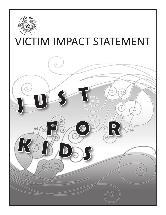

# **VICTIM IMPACT STATEMENT**

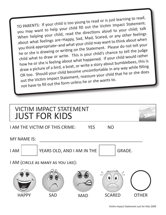TO PARENTS: If your child is too young to read or is just learning to read, you may want to help your child fill out the Victim Impact Statement. When helping your child, read the directions aloud to your child; talk about what feelings are–Happy, Sad, Mad, Scared, or any other feelings you think appropriate–and what your child may want to think about when he or she is drawing or writing on the Statement. Please do not tell your child what to draw or write. This is your child's chance to tell the judge how he or she is feeling about what happened. If your child would rather draw a picture of a bird, a boat, or write a story about bumblebees, this is OK too. Should your child become uncomfortable in any way while filling out the Victim Impact Statement, reassure your child that he or she does not have to fill out the form unless he or she wants to.



Victim Impact Statement Just for Kids 2009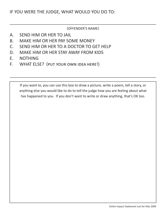#### (OFFENDER'S NAME)

- A. SEND HIM OR HER TO JAIL
- B. MAKE HIM OR HER PAY SOME MONEY
- C. SEND HIM OR HER TO A DOCTOR TO GET HELP
- D. MAKE HIM OR HER STAY AWAY FROM KIDS
- E. NOTHING
- F. WHAT ELSE? (put your own idea here!)

If you want to, you can use this box to draw a picture, write a poem, tell a story, or anything else you would like to do to tell the judge how you are feeling about what has happened to you. If you don't want to write or draw anything, that's OK too.